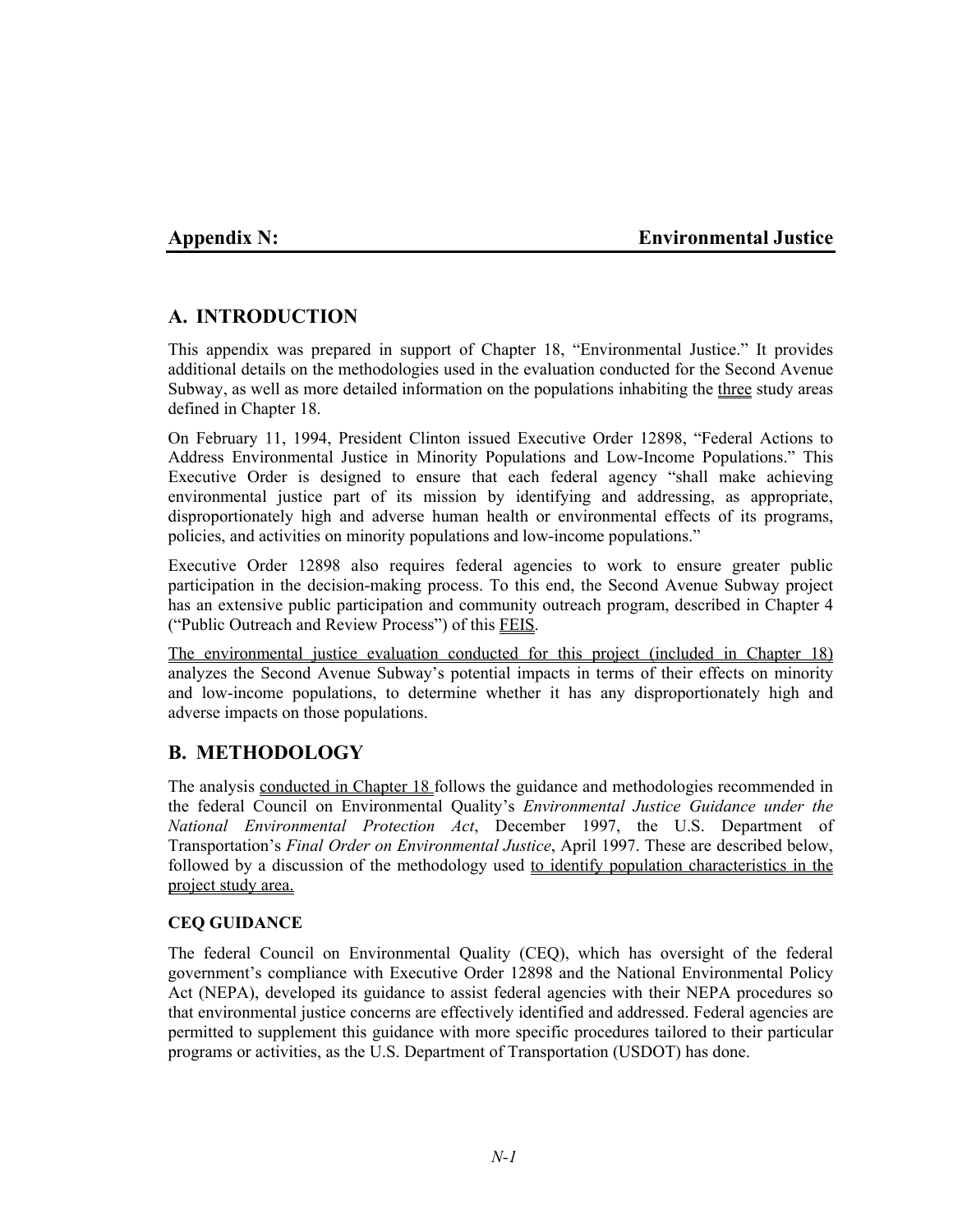## **Appendix N: Environmental Justice**

# **A. INTRODUCTION**

This appendix was prepared in support of Chapter 18, "Environmental Justice." It provides additional details on the methodologies used in the evaluation conducted for the Second Avenue Subway, as well as more detailed information on the populations inhabiting the three study areas defined in Chapter 18.

On February 11, 1994, President Clinton issued Executive Order 12898, "Federal Actions to Address Environmental Justice in Minority Populations and Low-Income Populations." This Executive Order is designed to ensure that each federal agency "shall make achieving environmental justice part of its mission by identifying and addressing, as appropriate, disproportionately high and adverse human health or environmental effects of its programs, policies, and activities on minority populations and low-income populations."

Executive Order 12898 also requires federal agencies to work to ensure greater public participation in the decision-making process. To this end, the Second Avenue Subway project has an extensive public participation and community outreach program, described in Chapter 4 ("Public Outreach and Review Process") of this FEIS.

The environmental justice evaluation conducted for this project (included in Chapter 18) analyzes the Second Avenue Subway's potential impacts in terms of their effects on minority and low-income populations, to determine whether it has any disproportionately high and adverse impacts on those populations.

## **B. METHODOLOGY**

The analysis conducted in Chapter 18 follows the guidance and methodologies recommended in the federal Council on Environmental Quality's *Environmental Justice Guidance under the National Environmental Protection Act*, December 1997, the U.S. Department of Transportation's *Final Order on Environmental Justice*, April 1997. These are described below, followed by a discussion of the methodology used to identify population characteristics in the project study area.

## **CEQ GUIDANCE**

The federal Council on Environmental Quality (CEQ), which has oversight of the federal government's compliance with Executive Order 12898 and the National Environmental Policy Act (NEPA), developed its guidance to assist federal agencies with their NEPA procedures so that environmental justice concerns are effectively identified and addressed. Federal agencies are permitted to supplement this guidance with more specific procedures tailored to their particular programs or activities, as the U.S. Department of Transportation (USDOT) has done.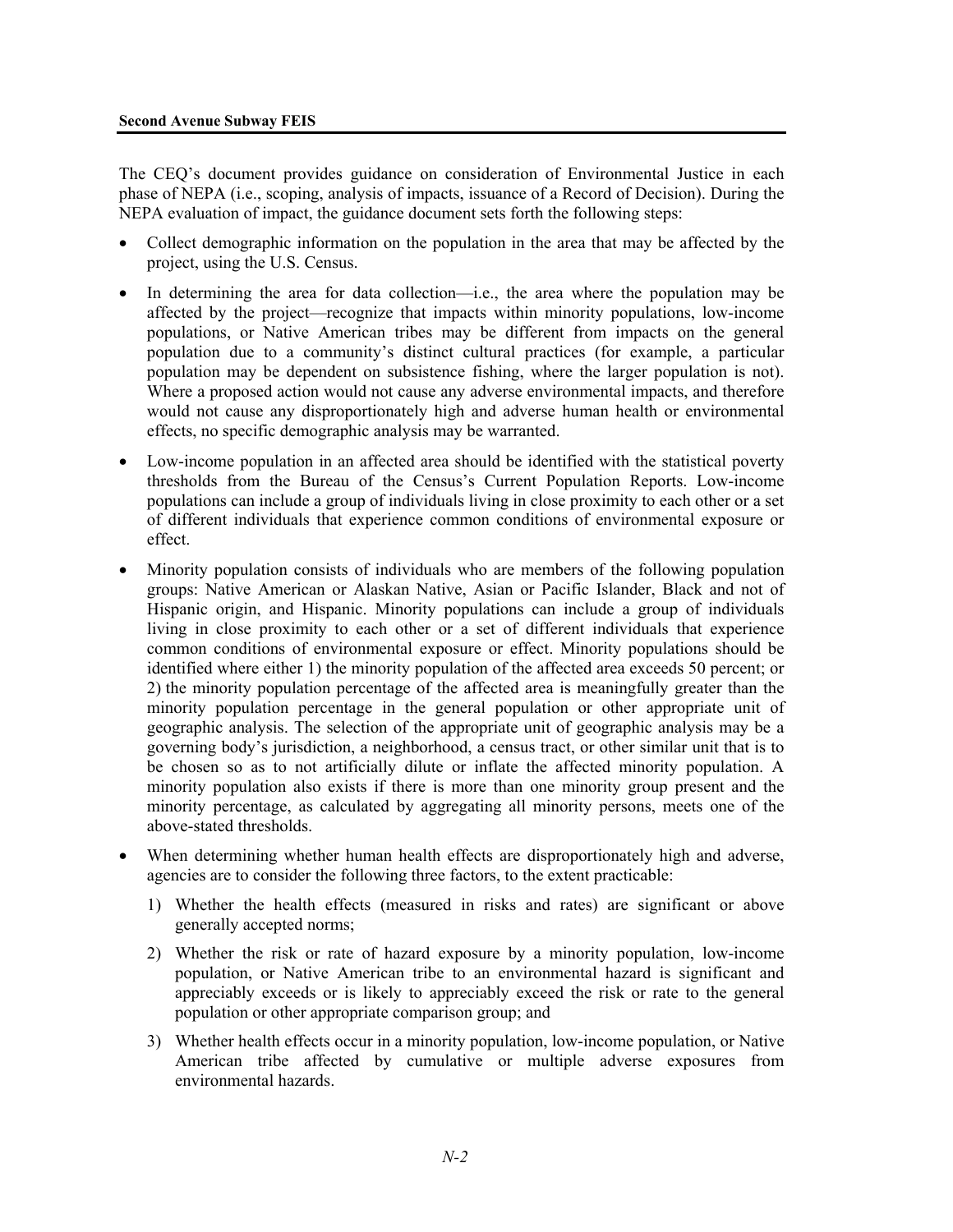The CEQ's document provides guidance on consideration of Environmental Justice in each phase of NEPA (i.e., scoping, analysis of impacts, issuance of a Record of Decision). During the NEPA evaluation of impact, the guidance document sets forth the following steps:

- Collect demographic information on the population in the area that may be affected by the project, using the U.S. Census.
- In determining the area for data collection—i.e., the area where the population may be affected by the project—recognize that impacts within minority populations, low-income populations, or Native American tribes may be different from impacts on the general population due to a community's distinct cultural practices (for example, a particular population may be dependent on subsistence fishing, where the larger population is not). Where a proposed action would not cause any adverse environmental impacts, and therefore would not cause any disproportionately high and adverse human health or environmental effects, no specific demographic analysis may be warranted.
- Low-income population in an affected area should be identified with the statistical poverty thresholds from the Bureau of the Census's Current Population Reports. Low-income populations can include a group of individuals living in close proximity to each other or a set of different individuals that experience common conditions of environmental exposure or effect.
- Minority population consists of individuals who are members of the following population groups: Native American or Alaskan Native, Asian or Pacific Islander, Black and not of Hispanic origin, and Hispanic. Minority populations can include a group of individuals living in close proximity to each other or a set of different individuals that experience common conditions of environmental exposure or effect. Minority populations should be identified where either 1) the minority population of the affected area exceeds 50 percent; or 2) the minority population percentage of the affected area is meaningfully greater than the minority population percentage in the general population or other appropriate unit of geographic analysis. The selection of the appropriate unit of geographic analysis may be a governing body's jurisdiction, a neighborhood, a census tract, or other similar unit that is to be chosen so as to not artificially dilute or inflate the affected minority population. A minority population also exists if there is more than one minority group present and the minority percentage, as calculated by aggregating all minority persons, meets one of the above-stated thresholds.
- When determining whether human health effects are disproportionately high and adverse, agencies are to consider the following three factors, to the extent practicable:
	- 1) Whether the health effects (measured in risks and rates) are significant or above generally accepted norms;
	- 2) Whether the risk or rate of hazard exposure by a minority population, low-income population, or Native American tribe to an environmental hazard is significant and appreciably exceeds or is likely to appreciably exceed the risk or rate to the general population or other appropriate comparison group; and
	- 3) Whether health effects occur in a minority population, low-income population, or Native American tribe affected by cumulative or multiple adverse exposures from environmental hazards.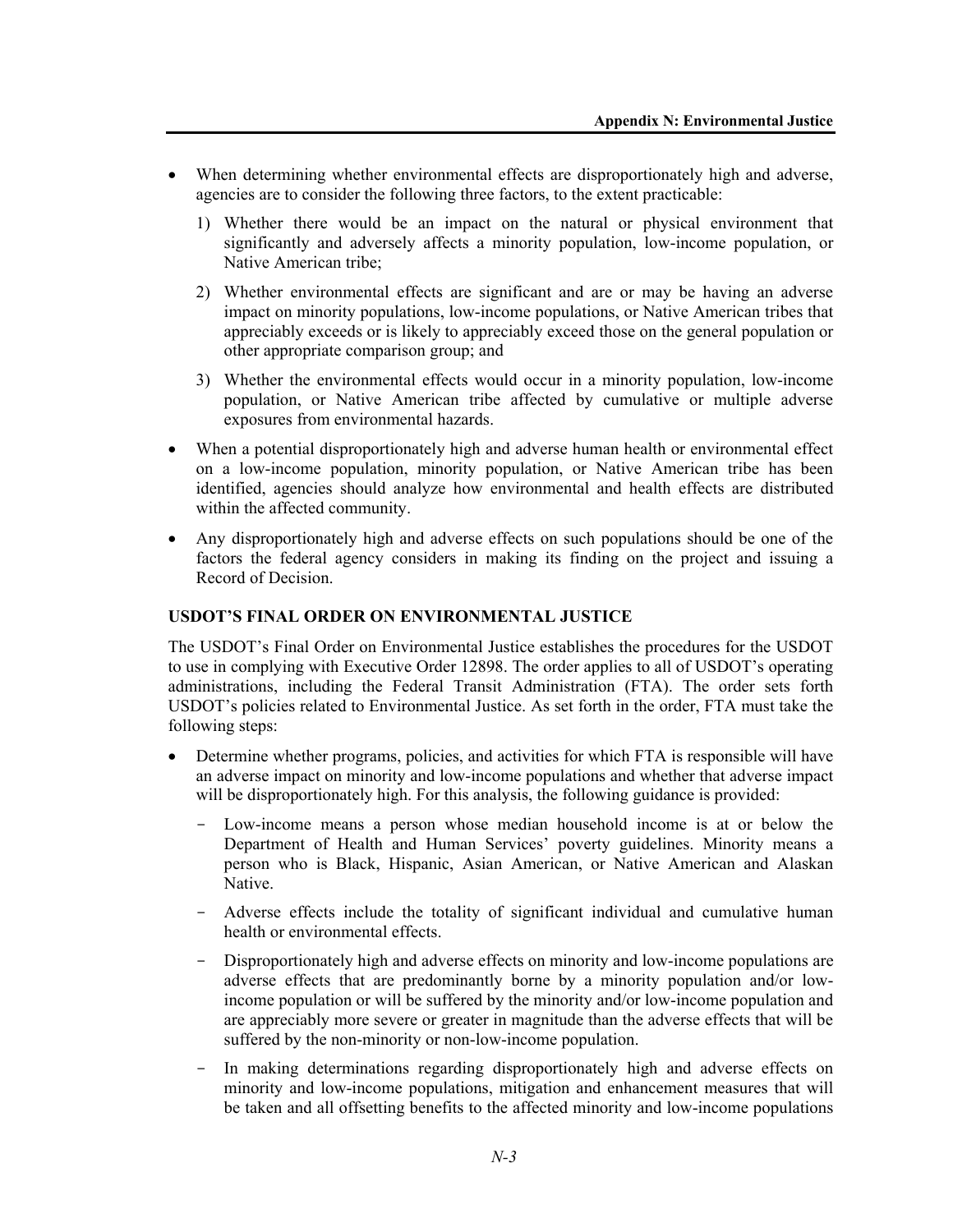- When determining whether environmental effects are disproportionately high and adverse, agencies are to consider the following three factors, to the extent practicable:
	- 1) Whether there would be an impact on the natural or physical environment that significantly and adversely affects a minority population, low-income population, or Native American tribe;
	- 2) Whether environmental effects are significant and are or may be having an adverse impact on minority populations, low-income populations, or Native American tribes that appreciably exceeds or is likely to appreciably exceed those on the general population or other appropriate comparison group; and
	- 3) Whether the environmental effects would occur in a minority population, low-income population, or Native American tribe affected by cumulative or multiple adverse exposures from environmental hazards.
- When a potential disproportionately high and adverse human health or environmental effect on a low-income population, minority population, or Native American tribe has been identified, agencies should analyze how environmental and health effects are distributed within the affected community.
- Any disproportionately high and adverse effects on such populations should be one of the factors the federal agency considers in making its finding on the project and issuing a Record of Decision.

### **USDOT'S FINAL ORDER ON ENVIRONMENTAL JUSTICE**

The USDOT's Final Order on Environmental Justice establishes the procedures for the USDOT to use in complying with Executive Order 12898. The order applies to all of USDOT's operating administrations, including the Federal Transit Administration (FTA). The order sets forth USDOT's policies related to Environmental Justice. As set forth in the order, FTA must take the following steps:

- Determine whether programs, policies, and activities for which FTA is responsible will have an adverse impact on minority and low-income populations and whether that adverse impact will be disproportionately high. For this analysis, the following guidance is provided:
	- Low-income means a person whose median household income is at or below the Department of Health and Human Services' poverty guidelines. Minority means a person who is Black, Hispanic, Asian American, or Native American and Alaskan Native.
	- Adverse effects include the totality of significant individual and cumulative human health or environmental effects.
	- Disproportionately high and adverse effects on minority and low-income populations are adverse effects that are predominantly borne by a minority population and/or lowincome population or will be suffered by the minority and/or low-income population and are appreciably more severe or greater in magnitude than the adverse effects that will be suffered by the non-minority or non-low-income population.
	- In making determinations regarding disproportionately high and adverse effects on minority and low-income populations, mitigation and enhancement measures that will be taken and all offsetting benefits to the affected minority and low-income populations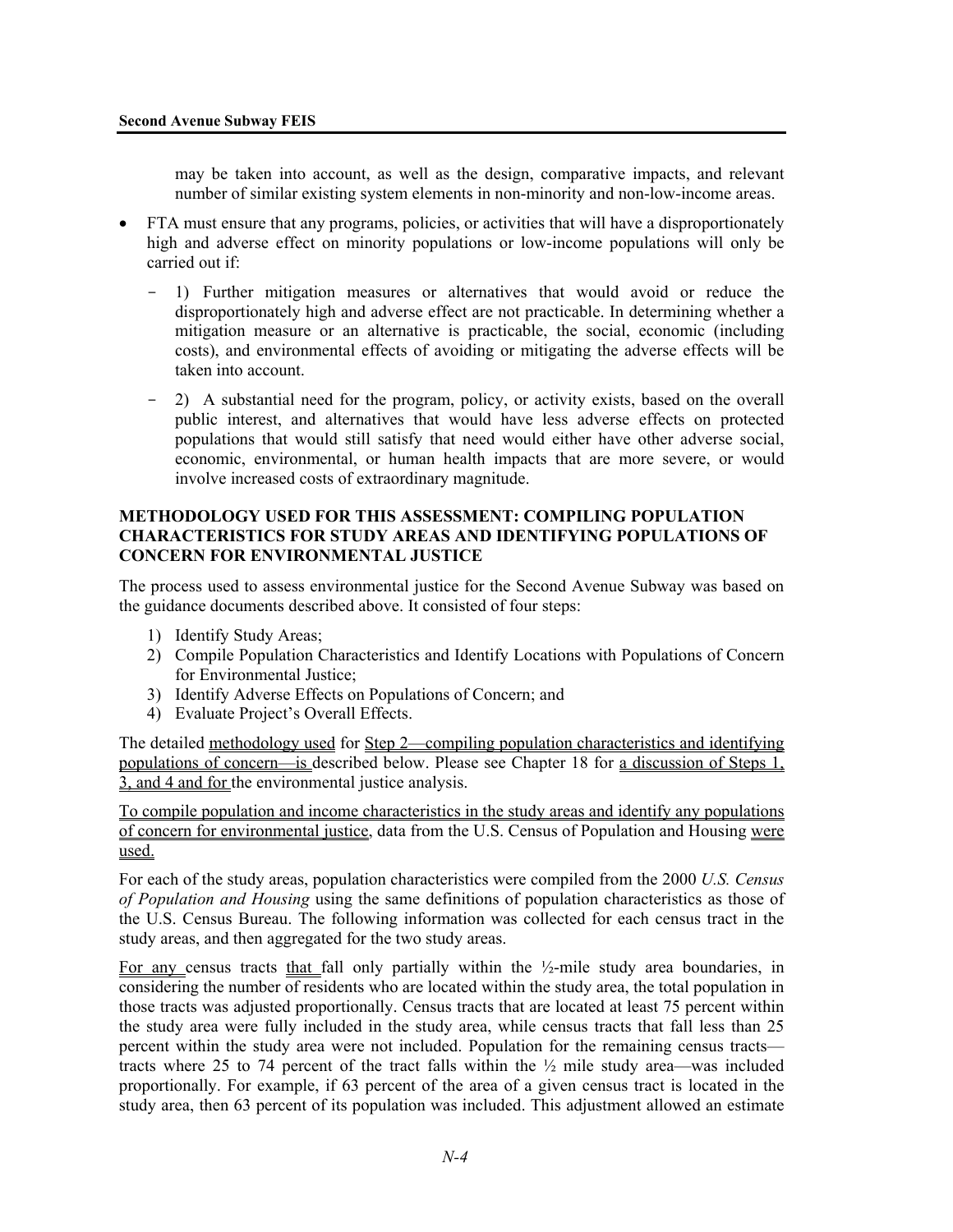may be taken into account, as well as the design, comparative impacts, and relevant number of similar existing system elements in non-minority and non-low-income areas.

- FTA must ensure that any programs, policies, or activities that will have a disproportionately high and adverse effect on minority populations or low-income populations will only be carried out if:
	- 1) Further mitigation measures or alternatives that would avoid or reduce the disproportionately high and adverse effect are not practicable. In determining whether a mitigation measure or an alternative is practicable, the social, economic (including costs), and environmental effects of avoiding or mitigating the adverse effects will be taken into account.
	- 2) A substantial need for the program, policy, or activity exists, based on the overall public interest, and alternatives that would have less adverse effects on protected populations that would still satisfy that need would either have other adverse social, economic, environmental, or human health impacts that are more severe, or would involve increased costs of extraordinary magnitude.

#### **METHODOLOGY USED FOR THIS ASSESSMENT: COMPILING POPULATION CHARACTERISTICS FOR STUDY AREAS AND IDENTIFYING POPULATIONS OF CONCERN FOR ENVIRONMENTAL JUSTICE**

The process used to assess environmental justice for the Second Avenue Subway was based on the guidance documents described above. It consisted of four steps:

- 1) Identify Study Areas;
- 2) Compile Population Characteristics and Identify Locations with Populations of Concern for Environmental Justice;
- 3) Identify Adverse Effects on Populations of Concern; and
- 4) Evaluate Project's Overall Effects.

The detailed methodology used for Step 2—compiling population characteristics and identifying populations of concern—is described below. Please see Chapter 18 for a discussion of Steps 1, 3, and 4 and for the environmental justice analysis.

To compile population and income characteristics in the study areas and identify any populations of concern for environmental justice, data from the U.S. Census of Population and Housing were used.

For each of the study areas, population characteristics were compiled from the 2000 *U.S. Census of Population and Housing* using the same definitions of population characteristics as those of the U.S. Census Bureau. The following information was collected for each census tract in the study areas, and then aggregated for the two study areas.

For any census tracts that fall only partially within the ½-mile study area boundaries, in considering the number of residents who are located within the study area, the total population in those tracts was adjusted proportionally. Census tracts that are located at least 75 percent within the study area were fully included in the study area, while census tracts that fall less than 25 percent within the study area were not included. Population for the remaining census tracts tracts where 25 to 74 percent of the tract falls within the  $\frac{1}{2}$  mile study area—was included proportionally. For example, if 63 percent of the area of a given census tract is located in the study area, then 63 percent of its population was included. This adjustment allowed an estimate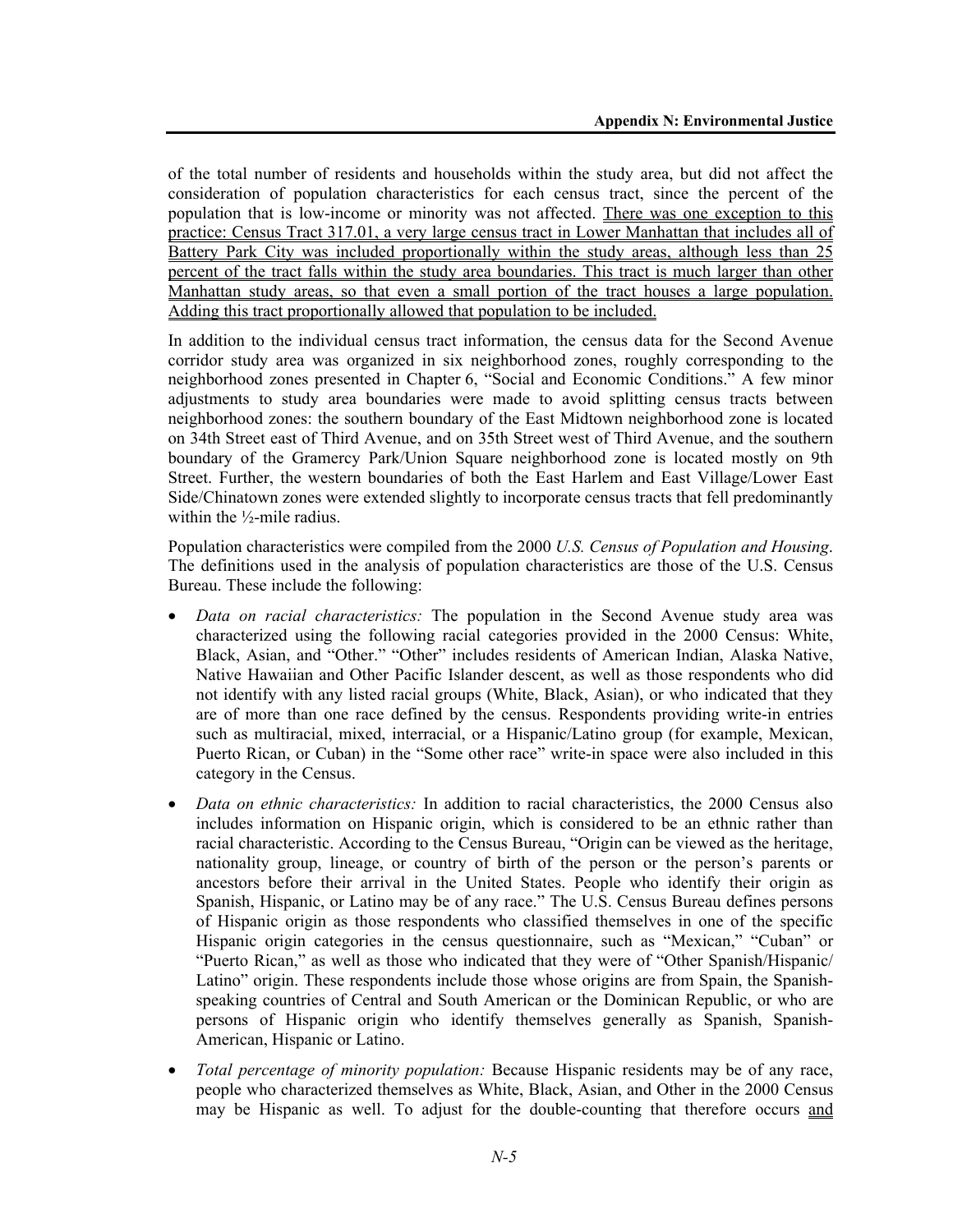of the total number of residents and households within the study area, but did not affect the consideration of population characteristics for each census tract, since the percent of the population that is low-income or minority was not affected. There was one exception to this practice: Census Tract 317.01, a very large census tract in Lower Manhattan that includes all of Battery Park City was included proportionally within the study areas, although less than 25 percent of the tract falls within the study area boundaries. This tract is much larger than other Manhattan study areas, so that even a small portion of the tract houses a large population. Adding this tract proportionally allowed that population to be included.

In addition to the individual census tract information, the census data for the Second Avenue corridor study area was organized in six neighborhood zones, roughly corresponding to the neighborhood zones presented in Chapter 6, "Social and Economic Conditions." A few minor adjustments to study area boundaries were made to avoid splitting census tracts between neighborhood zones: the southern boundary of the East Midtown neighborhood zone is located on 34th Street east of Third Avenue, and on 35th Street west of Third Avenue, and the southern boundary of the Gramercy Park/Union Square neighborhood zone is located mostly on 9th Street. Further, the western boundaries of both the East Harlem and East Village/Lower East Side/Chinatown zones were extended slightly to incorporate census tracts that fell predominantly within the  $\frac{1}{2}$ -mile radius.

Population characteristics were compiled from the 2000 *U.S. Census of Population and Housing*. The definitions used in the analysis of population characteristics are those of the U.S. Census Bureau. These include the following:

- *Data on racial characteristics:* The population in the Second Avenue study area was characterized using the following racial categories provided in the 2000 Census: White, Black, Asian, and "Other." "Other" includes residents of American Indian, Alaska Native, Native Hawaiian and Other Pacific Islander descent, as well as those respondents who did not identify with any listed racial groups (White, Black, Asian), or who indicated that they are of more than one race defined by the census. Respondents providing write-in entries such as multiracial, mixed, interracial, or a Hispanic/Latino group (for example, Mexican, Puerto Rican, or Cuban) in the "Some other race" write-in space were also included in this category in the Census.
- *Data on ethnic characteristics:* In addition to racial characteristics, the 2000 Census also includes information on Hispanic origin, which is considered to be an ethnic rather than racial characteristic. According to the Census Bureau, "Origin can be viewed as the heritage, nationality group, lineage, or country of birth of the person or the person's parents or ancestors before their arrival in the United States. People who identify their origin as Spanish, Hispanic, or Latino may be of any race." The U.S. Census Bureau defines persons of Hispanic origin as those respondents who classified themselves in one of the specific Hispanic origin categories in the census questionnaire, such as "Mexican," "Cuban" or "Puerto Rican," as well as those who indicated that they were of "Other Spanish/Hispanic/ Latino" origin. These respondents include those whose origins are from Spain, the Spanishspeaking countries of Central and South American or the Dominican Republic, or who are persons of Hispanic origin who identify themselves generally as Spanish, Spanish-American, Hispanic or Latino.
- *Total percentage of minority population:* Because Hispanic residents may be of any race, people who characterized themselves as White, Black, Asian, and Other in the 2000 Census may be Hispanic as well. To adjust for the double-counting that therefore occurs and